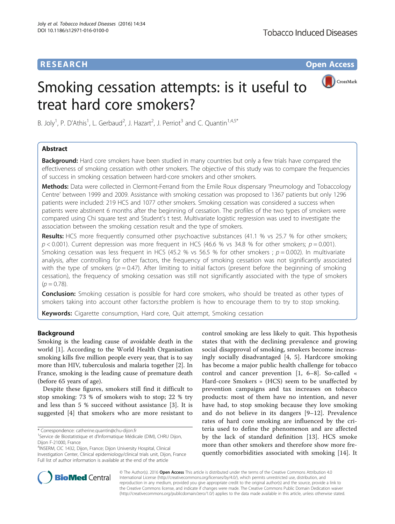# **RESEARCH CHE Open Access**

# CrossMark

# Smoking cessation attempts: is it useful to treat hard core smokers?

B. Joly<sup>1</sup>, P. D'Athis<sup>1</sup>, L. Gerbaud<sup>2</sup>, J. Hazart<sup>2</sup>, J. Perriot<sup>3</sup> and C. Quantin<sup>1,4,5\*</sup>

## Abstract

**Background:** Hard core smokers have been studied in many countries but only a few trials have compared the effectiveness of smoking cessation with other smokers. The objective of this study was to compare the frequencies of success in smoking cessation between hard-core smokers and other smokers.

Methods: Data were collected in Clermont-Ferrand from the Emile Roux dispensary 'Pneumology and Tobaccology Centre' between 1999 and 2009. Assistance with smoking cessation was proposed to 1367 patients but only 1296 patients were included: 219 HCS and 1077 other smokers. Smoking cessation was considered a success when patients were abstinent 6 months after the beginning of cessation. The profiles of the two types of smokers were compared using Chi square test and Student's t test. Multivariate logistic regression was used to investigate the association between the smoking cessation result and the type of smokers.

Results: HCS more frequently consumed other psychoactive substances (41.1 % vs 25.7 % for other smokers;  $p < 0.001$ ). Current depression was more frequent in HCS (46.6 % vs 34.8 % for other smokers;  $p = 0.001$ ). Smoking cessation was less frequent in HCS (45.2 % vs 56.5 % for other smokers ;  $p = 0.002$ ). In multivariate analysis, after controlling for other factors, the frequency of smoking cessation was not significantly associated with the type of smokers ( $p = 0.47$ ). After limiting to initial factors (present before the beginning of smoking cessation), the frequency of smoking cessation was still not significantly associated with the type of smokers  $(p = 0.78)$ .

**Conclusion:** Smoking cessation is possible for hard core smokers, who should be treated as other types of smokers taking into account other factors:the problem is how to encourage them to try to stop smoking.

Keywords: Cigarette consumption, Hard core, Quit attempt, Smoking cessation

## **Background**

Smoking is the leading cause of avoidable death in the world [\[1](#page-5-0)]. According to the World Health Organisation smoking kills five million people every year, that is to say more than HIV, tuberculosis and malaria together [\[2](#page-5-0)]. In France, smoking is the leading cause of premature death (before 65 years of age).

Despite these figures, smokers still find it difficult to stop smoking: 73 % of smokers wish to stop; 22 % try and less than 5 % succeed without assistance [[3\]](#page-5-0). It is suggested [[4\]](#page-5-0) that smokers who are more resistant to

\* Correspondence: [catherine.quantin@chu-dijon.fr](mailto:catherine.quantin@chu-dijon.fr) <sup>1</sup>

4 INSERM, CIC 1432, Dijon, France; Dijon University Hospital, Clinical Investigation Center, Clinical epidemiology/clinical trials unit, Dijon, France Full list of author information is available at the end of the article

control smoking are less likely to quit. This hypothesis states that with the declining prevalence and growing social disapproval of smoking, smokers become increasingly socially disadvantaged [[4, 5\]](#page-5-0). Hardcore smoking has become a major public health challenge for tobacco control and cancer prevention [\[1](#page-5-0), [6](#page-5-0)–[8](#page-5-0)]. So-called « Hard-core Smokers » (HCS) seem to be unaffected by prevention campaigns and tax increases on tobacco products: most of them have no intention, and never have had, to stop smoking because they love smoking and do not believe in its dangers [\[9](#page-5-0)–[12](#page-5-0)]. Prevalence rates of hard core smoking are influenced by the criteria used to define the phenomenon and are affected by the lack of standard definition [[13\]](#page-5-0). HCS smoke more than other smokers and therefore show more frequently comorbidities associated with smoking [\[14](#page-6-0)]. It



© The Author(s). 2016 Open Access This article is distributed under the terms of the Creative Commons Attribution 4.0 International License [\(http://creativecommons.org/licenses/by/4.0/](http://creativecommons.org/licenses/by/4.0/)), which permits unrestricted use, distribution, and reproduction in any medium, provided you give appropriate credit to the original author(s) and the source, provide a link to the Creative Commons license, and indicate if changes were made. The Creative Commons Public Domain Dedication waiver [\(http://creativecommons.org/publicdomain/zero/1.0/](http://creativecommons.org/publicdomain/zero/1.0/)) applies to the data made available in this article, unless otherwise stated.

<sup>&</sup>lt;sup>1</sup>Service de Biostatistique et d'Informatique Médicale (DIM), CHRU Dijon, Dijon F-21000, France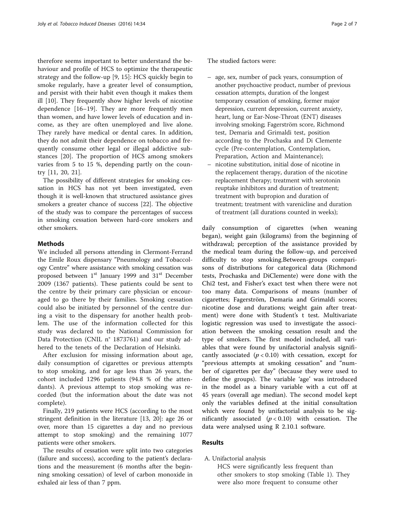therefore seems important to better understand the behaviour and profile of HCS to optimize the therapeutic strategy and the follow-up [[9,](#page-5-0) [15\]](#page-6-0): HCS quickly begin to smoke regularly, have a greater level of consumption, and persist with their habit even though it makes them ill [[10\]](#page-5-0). They frequently show higher levels of nicotine dependence [[16](#page-6-0)–[19\]](#page-6-0). They are more frequently men than women, and have lower levels of education and income, as they are often unemployed and live alone. They rarely have medical or dental cares. In addition, they do not admit their dependence on tobacco and frequently consume other legal or illegal addictive substances [[20\]](#page-6-0). The proportion of HCS among smokers varies from 5 to 15 %, depending partly on the country [\[11](#page-5-0), [20, 21\]](#page-6-0).

The possibility of different strategies for smoking cessation in HCS has not yet been investigated, even though it is well-known that structured assistance gives smokers a greater chance of success [\[22](#page-6-0)]. The objective of the study was to compare the percentages of success in smoking cessation between hard-core smokers and other smokers.

## **Methods**

We included all persons attending in Clermont-Ferrand the Emile Roux dispensary "Pneumology and Tobaccology Centre" where assistance with smoking cessation was proposed between  $1<sup>st</sup>$  January 1999 and  $31<sup>st</sup>$  December 2009 (1367 patients). These patients could be sent to the centre by their primary care physician or encouraged to go there by their families. Smoking cessation could also be initiated by personnel of the centre during a visit to the dispensary for another health problem. The use of the information collected for this study was declared to the National Commission for Data Protection (CNIL n° 1873761) and our study adhered to the tenets of the Declaration of Helsinki.

After exclusion for missing information about age, daily consumption of cigarettes or previous attempts to stop smoking, and for age less than 26 years, the cohort included 1296 patients (94.8 % of the attendants). A previous attempt to stop smoking was recorded (but the information about the date was not complete).

Finally, 219 patients were HCS (according to the most stringent definition in the literature [[13](#page-5-0), [20\]](#page-6-0): age 26 or over, more than 15 cigarettes a day and no previous attempt to stop smoking) and the remaining 1077 patients were other smokers.

The results of cessation were split into two categories (failure and success), according to the patient's declarations and the measurement (6 months after the beginning smoking cessation) of level of carbon monoxide in exhaled air less of than 7 ppm.

The studied factors were:

- age, sex, number of pack years, consumption of another psychoactive product, number of previous cessation attempts, duration of the longest temporary cessation of smoking, former major depression, current depression, current anxiety, heart, lung or Ear-Nose-Throat (ENT) diseases involving smoking; Fagerström score, Richmond test, Demaria and Grimaldi test, position according to the Prochaska and Di Clemente cycle (Pre-contemplation, Contemplation, Preparation, Action and Maintenance);
- nicotine substitution, initial dose of nicotine in the replacement therapy, duration of the nicotine replacement therapy; treatment with serotonin reuptake inhibitors and duration of treatment; treatment with bupropion and duration of treatment; treatment with varenicline and duration of treatment (all durations counted in weeks);

daily consumption of cigarettes (when weaning began), weight gain (kilograms) from the beginning of withdrawal; perception of the assistance provided by the medical team during the follow-up, and perceived difficulty to stop smoking.Between-groups comparisons of distributions for categorical data (Richmond tests, Prochaska and DiClemente) were done with the Chi2 test, and Fisher's exact test when there were not too many data. Comparisons of means (number of cigarettes; Fagerström, Demaria and Grimaldi scores; nicotine dose and durations; weight gain after treatment) were done with Student's t test. Multivariate logistic regression was used to investigate the association between the smoking cessation result and the type of smokers. The first model included, all variables that were found by unifactorial analysis significantly associated  $(p < 0.10)$  with cessation, except for "previous attempts at smoking cessation" and "number of cigarettes per day" (because they were used to define the groups). The variable 'age' was introduced in the model as a binary variable with a cut off at 45 years (overall age median). The second model kept only the variables defined at the initial consultation which were found by unifactorial analysis to be significantly associated  $(p < 0.10)$  with cessation. The data were analysed using R 2.10.1 software.

## Results

A. Unifactorial analysis

HCS were significantly less frequent than other smokers to stop smoking (Table [1\)](#page-2-0). They were also more frequent to consume other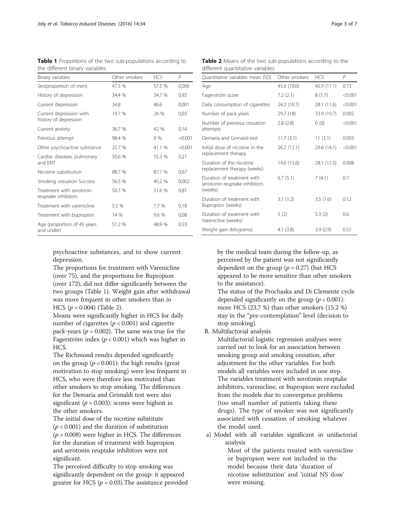| the unicrent binary variables                    |               |            |         |  |  |
|--------------------------------------------------|---------------|------------|---------|--|--|
| Binary variables                                 | Other smokers | <b>HCS</b> | P       |  |  |
| Sex(proportion of men)                           | 47.3 %        | 57.5 %     | 0,006   |  |  |
| History of depression                            | 34.4 %        | 34.7 %     | 0,92    |  |  |
| Current depression                               | 34.8          | 46.6       | 0,001   |  |  |
| Current depression with<br>history of depression | 19.7 %        | 26 %       | 0,03    |  |  |
| Current anxiety                                  | 36.7 %        | 42 %       | 0,14    |  |  |
| Previous attempt                                 | 98.4 %        | 0%         | < 0.001 |  |  |
| Other psychoactive substance                     | 25.7 %        | 41.1 %     | < 0.001 |  |  |
| Cardiac diseases, pulmonary<br>and FNT           | 50.6 %        | 55.3 %     | 0,21    |  |  |
| Nicotine substitution                            | 88.7 %        | 87.7 %     | 0,67    |  |  |
| Smoking cessation Success                        | 56.5 %        | 45.2 %     | 0,002   |  |  |
| Treatment with serotonin<br>reuptake inhibitors  | 50.7 %        | 51.6 %     | 0,81    |  |  |
| Treatment with varenicline                       | 5.5 %         | 7.7 %      | 0,18    |  |  |
| Treatment with bupropion                         | 14 %          | 9.6 %      | 0,08    |  |  |
| Age (proportion of 45 years<br>and under)        | 51.2 %        | 48.9%      | 0.53    |  |  |

<span id="page-2-0"></span>Table 1 Proportions of the two sub-populations according to the different binary variables

psychoactive substances, and to show current depression.

The proportions for treatment with Varenicline (over 75), and the proportions for Bupropion (over 172), did not differ significantly between the two groups (Table 1). Weight gain after withdrawal was more frequent in other smokers than in HCS  $(p = 0.004)$  (Table 2).

Means were significantly higher in HCS for daily number of cigarettes ( $p < 0.001$ ) and cigarette pack-years ( $p = 0.002$ ). The same was true for the Fagerström index ( $p < 0.001$ ) which was higher in HCS.

The Richmond results depended significantly on the group ( $p < 0.001$ ): the high results (great motivation to stop smoking) were less frequent in HCS, who were therefore less motivated than other smokers to stop smoking. The differences for the Demaria and Grimaldi test were also significant ( $p = 0.003$ ): scores were highest in the other smokers.

The initial dose of the nicotine substitute  $(p < 0.001)$  and the duration of substitution  $(p = 0.008)$  were higher in HCS. The differences for the duration of treatment with bupropion and serotonin reuptake inhibitors were not significant.

The perceived difficulty to stop smoking was significantly dependent on the group: it appeared greater for HCS ( $p = 0.03$ ). The assistance provided

Table 2 Means of the two sub-populations according to the different quantitative variables

| Quantitative variables mean (SD)                                       | Other smokers | <b>HCS</b>  | P       |
|------------------------------------------------------------------------|---------------|-------------|---------|
| Age                                                                    | 45.6 (10.6)   | 45.9 (11.1) | 0.73    |
| Fagerström score                                                       | 7.2(2.1)      | 8(1.7)      | < 0.001 |
| Daily consumption of cigarettes                                        | 24.2 (10.7)   | 28.1 (11.6) | < 0.001 |
| Number of pack years                                                   | 29.7 (18)     | 33.9 (19.7) | 0.002   |
| Number of previous cessation<br>attempts                               | 2.8(2.8)      | 0(0)        | < 0.001 |
| Demaria and Grimaldi test                                              | 11.7(3.1)     | 11(3.1)     | 0.003   |
| Initial dose of nicotine in the<br>replacement therapy                 | 26.2 (12.1)   | 29.6 (14.1) | < 0.001 |
| Duration of the nicotine<br>replacement therapy (weeks)                | 14.6 (15.6)   | 28.1 (17.5) | 0.008   |
| Duration of treatment with<br>serotonin reuptake inhibitors<br>(weeks) | 6.7(5.1)      | 7(4.1)      | 0.7     |
| Duration of treatment with<br>Bupropion (weeks)                        | 3.1(1.2)      | 3.5(1.6)    | 0.12    |
| Duration of treatment with<br>Varenicline (weeks)                      | 5(2)          | 5.3(2)      | 0.6     |
| Weight gain (kilograms)                                                | 4.1(3.8)      | 3.9(2.9)    | 0.52    |

by the medical team during the follow-up, as perceived by the patient was not significantly dependent on the group ( $p = 0.27$ ) (but HCS appeared to be more sensitive than other smokers to the assistance).

The status of the Prochaska and Di Clemente cycle depended significantly on the group ( $p < 0.001$ ): more HCS (23.7 %) than other smokers (15.2 %) stay in the "pre-contemplation" level (decision to stop smoking).

B. Multifactorial analysis

Multifactorial logistic regression analyses were carried out to look for an association between smoking group and smoking cessation, after adjustment for the other variables. For both models all variables were included in one step. The variables treatment with serotonin reuptake inhibitors, varenicline, or bupropion were excluded from the models due to convergence problems (too small number of patients taking these drugs). The type of smoker was not significantly associated with cessation of smoking whatever the model used.

a) Model with all variables significant in unifactorial analysis

> Most of the patients treated with varenicline or bupropion were not included in the model because their data 'duration of nicotine substitution' and 'initial NS dose' were missing.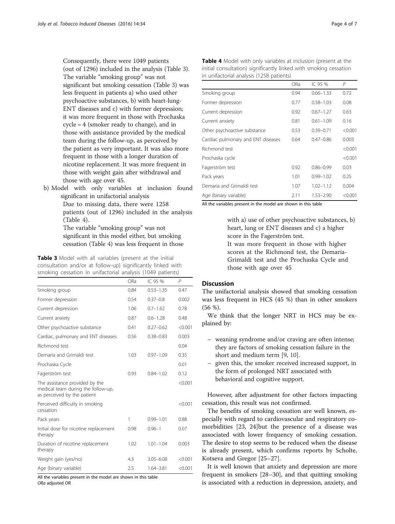Consequently, there were 1049 patients (out of 1296) included in the analysis (Table 3). The variable "smoking group" was not significant but smoking cessation (Table 3) was less frequent in patients a) who used other psychoactive substances, b) with heart-lung-ENT diseases and c) with former depression; it was more frequent in those with Prochaska cycle = 4 (smoker ready to change), and in those with assistance provided by the medical team during the follow-up, as perceived by the patient as very important. It was also more frequent in those with a longer duration of nicotine replacement. It was more frequent in those with weight gain after withdrawal and those with age over 45.

b) Model with only variables at inclusion found significant in unifactorial analysis Due to missing data, there were 1258 patients (out of 1296) included in the analysis (Table 4). The variable "smoking group" was not significant in this model either, but smoking cessation (Table 4) was less frequent in those

Table 3 Model with all variables (present at the initial consultation and/or at follow-up) significantly linked with smoking cessation in unifactorial analysis (1049 patients)

|                                                                                                     | ORa  | IC 95 %       | P       |
|-----------------------------------------------------------------------------------------------------|------|---------------|---------|
| Smoking group                                                                                       | 0.84 | $0.53 - 1.35$ | 0.47    |
| Former depression                                                                                   | 0.54 | $0.37 - 0.8$  | 0.002   |
| Current depression                                                                                  | 1.06 | $0.7 - 1.62$  | 0.78    |
| Current anxiety                                                                                     | 0.87 | $0.6 - 1.28$  | 0.48    |
| Other psychoactive substance                                                                        | 0.41 | $0.27 - 0.62$ | < 0.001 |
| Cardiac, pulmonary and ENT diseases                                                                 | 0.56 | $0.38 - 0.83$ | 0.003   |
| Richmond test                                                                                       |      |               | 0.04    |
| Demaria and Grimaldi test                                                                           | 1.03 | $0.97 - 1.09$ | 0.35    |
| Prochaska Cycle                                                                                     |      |               | 0.01    |
| Fagerström test                                                                                     | 0.93 | $0.84 - 1.02$ | 0.12    |
| The assistance provided by the<br>medical team during the follow-up,<br>as perceived by the patient |      |               | < 0.001 |
| Perceived difficulty in smoking<br>cessation                                                        |      |               | < 0.001 |
| Pack years                                                                                          | 1    | $0.99 - 1.01$ | 0.88    |
| Initial dose for nicotine replacement<br>therapy                                                    | 0.98 | $0.96 - 1$    | 0.07    |
| Duration of nicotine replacement<br>therapy                                                         | 1.02 | $1.01 - 1.04$ | 0.003   |
| Weight gain (yes/no)                                                                                | 4.3  | $3.05 - 6.08$ | < 0.001 |
| Age (binary variable)                                                                               | 2.5  | $1.64 - 3.81$ | < 0.001 |

All the variables present in the model are shown in this table

ORa adjusted OR

Table 4 Model with only variables at inclusion (present at the initial consultation) significantly linked with smoking cessation in unifactorial analysis (1258 patients)

|                                    | ORa  | IC 95 %       | P       |
|------------------------------------|------|---------------|---------|
| Smoking group                      | 0.94 | $0.66 - 1.33$ | 0.72    |
| Former depression                  | 0.77 | $0.58 - 1.03$ | 0.08    |
| Current depression                 | 0.92 | $0.67 - 1.27$ | 0.63    |
| Current anxiety                    | 0.81 | $0.61 - 1.09$ | 0.16    |
| Other psychoactive substance       | 0.53 | $0.39 - 0.71$ | < 0.001 |
| Cardiac pulmonary and ENT diseases | 0.64 | $0.47 - 0.86$ | 0.003   |
| Richmond test                      |      |               | < 0.001 |
| Prochaska cycle                    |      |               | < 0.001 |
| Fagerström test                    | 0.92 | $0.86 - 0.99$ | 0.03    |
| Pack years                         | 1.01 | $0.99 - 1.02$ | 0.25    |
| Demaria and Grimaldi test          | 1.07 | $1.02 - 1.12$ | 0.004   |
| Age (binary variable)              | 2.11 | $1.53 - 2.90$ | < 0.001 |

All the variables present in the model are shown in this table

with a) use of other psychoactive substances, b) heart, lung or ENT diseases and c) a higher score in the Fagerström test.

It was more frequent in those with higher scores at the Richmond test, the Demaria-Grimaldi test and the Prochaska Cycle and those with age over 45

## **Discussion**

The unifactorial analysis showed that smoking cessation was less frequent in HCS (45 %) than in other smokers (56 %).

We think that the longer NRT in HCS may be explained by:

- weaning syndrome and/or craving are often intense; they are factors of smoking cessation failure in the short and medium term [[9](#page-5-0), [10](#page-5-0)].
- given this, the smoker received increased support, in the form of prolonged NRT associated with behavioral and cognitive support.

However, after adjustment for other factors impacting cessation, this result was not confirmed.

The benefits of smoking cessation are well known, especially with regard to cardiovascular and respiratory comorbidities [\[23](#page-6-0), [24](#page-6-0)]but the presence of a disease was associated with lower frequency of smoking cessation. The desire to stop seems to be reduced when the disease is already present, which confirms reports by Scholte, Kotseva and Gregor [[25](#page-6-0)–[27](#page-6-0)].

It is well known that anxiety and depression are more frequent in smokers [\[28](#page-6-0)–[30\]](#page-6-0), and that quitting smoking is associated with a reduction in depression, anxiety, and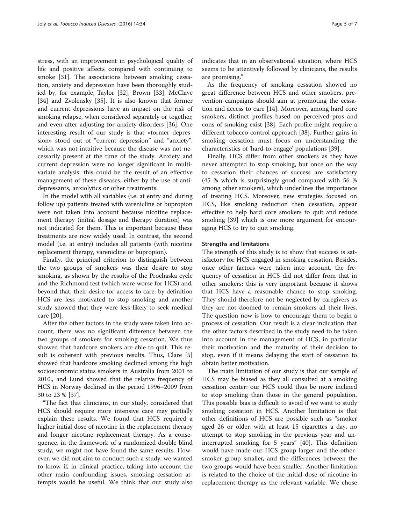stress, with an improvement in psychological quality of life and positive affects compared with continuing to smoke [[31](#page-6-0)]. The associations between smoking cessation, anxiety and depression have been thoroughly studied by, for example, Taylor [\[32](#page-6-0)], Brown [[33\]](#page-6-0), McClave [[34\]](#page-6-0) and Zvolensky [\[35](#page-6-0)]. It is also known that former and current depressions have an impact on the risk of smoking relapse, when considered separately or together, and even after adjusting for anxiety disorders [\[36\]](#page-6-0). One interesting result of our study is that «former depression» stood out of "current depression" and "anxiety", which was not intuitive because the disease was not necessarily present at the time of the study. Anxiety and current depression were no longer significant in multivariate analysis: this could be the result of an effective management of these diseases, either by the use of antidepressants, anxiolytics or other treatments.

In the model with all variables (i.e. at entry and during follow up) patients treated with varenicline or bupropion were not taken into account because nicotine replacement therapy (initial dosage and therapy duration) was not indicated for them. This is important because these treatments are now widely used. In contrast, the second model (i.e. at entry) includes all patients (with nicotine replacement therapy, varenicline or bupropion).

Finally, the principal criterion to distinguish between the two groups of smokers was their desire to stop smoking, as shown by the results of the Prochaska cycle and the Richmond test (which were worse for HCS) and, beyond that, their desire for access to care: by definition HCS are less motivated to stop smoking and another study showed that they were less likely to seek medical care [[20\]](#page-6-0).

After the other factors in the study were taken into account, there was no significant difference between the two groups of smokers for smoking cessation. We thus showed that hardcore smokers are able to quit. This result is coherent with previous results. Thus, Clare [\[5](#page-5-0)] showed that hardcore smoking declined among the high socioeconomic status smokers in Australia from 2001 to 2010., and Lund showed that the relative frequency of HCS in Norway declined in the period 1996–2009 from 30 to 23 % [\[37](#page-6-0)].

"The fact that clinicians, in our study, considered that HCS should require more intensive care may partially explain these results. We found that HCS required a higher initial dose of nicotine in the replacement therapy and longer nicotine replacement therapy. As a consequence, in the framework of a randomized double blind study, we might not have found the same results. However, we did not aim to conduct such a study; we wanted to know if, in clinical practice, taking into account the other main confounding issues, smoking cessation attempts would be useful. We think that our study also

indicates that in an observational situation, where HCS seems to be attentively followed by clinicians, the results are promising."

As the frequency of smoking cessation showed no great difference between HCS and other smokers, prevention campaigns should aim at promoting the cessation and access to care [\[14](#page-6-0)]. Moreover, among hard core smokers, distinct profiles based on perceived pros and cons of smoking exist [\[38\]](#page-6-0). Each profile might require a different tobacco control approach [\[38](#page-6-0)]. Further gains in smoking cessation must focus on understanding the characteristics of 'hard-to-engage' populations [\[39\]](#page-6-0).

Finally, HCS differ from other smokers as they have never attempted to stop smoking, but once on the way to cessation their chances of success are satisfactory (45 % which is surprisingly good compared with 56 % among other smokers), which underlines the importance of treating HCS. Moreover, new strategies focused on HCS, like smoking reduction then cessation, appear effective to help hard core smokers to quit and reduce smoking [[39\]](#page-6-0) which is one more argument for encouraging HCS to try to quit smoking.

## Strengths and limitations

The strength of this study is to show that success is satisfactory for HCS engaged in smoking cessation. Besides, once other factors were taken into account, the frequency of cessation in HCS did not differ from that in other smokers: this is very important because it shows that HCS have a reasonable chance to stop smoking. They should therefore not be neglected by caregivers as they are not doomed to remain smokers all their lives. The question now is how to encourage them to begin a process of cessation. Our result is a clear indication that the other factors described in the study need to be taken into account in the management of HCS, in particular their motivation and the maturity of their decision to stop, even if it means delaying the start of cessation to obtain better motivation.

The main limitation of our study is that our sample of HCS may be biased as they all consulted at a smoking cessation center: our HCS could thus be more inclined to stop smoking than those in the general population. This possible bias is difficult to avoid if we want to study smoking cessation in HCS. Another limitation is that other definitions of HCS are possible such as "smoker aged 26 or older, with at least 15 cigarettes a day, no attempt to stop smoking in the previous year and uninterrupted smoking for 5 years" [[40\]](#page-6-0). This definition would have made our HCS group larger and the othersmoker group smaller, and the differences between the two groups would have been smaller. Another limitation is related to the choice of the initial dose of nicotine in replacement therapy as the relevant variable. We chose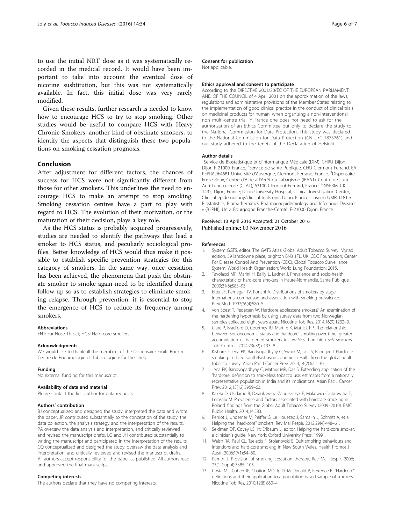<span id="page-5-0"></span>to use the initial NRT dose as it was systematically recorded in the medical record. It would have been important to take into account the eventual dose of nicotine susbtitution, but this was not systematically available. In fact, this initial dose was very rarely modified.

Given these results, further research is needed to know how to encourage HCS to try to stop smoking. Other studies would be useful to compare HCS with Heavy Chronic Smokers, another kind of obstinate smokers, to identify the aspects that distinguish these two populations on smoking cessation prognosis.

## Conclusion

After adjustment for different factors, the chances of success for HCS were not significantly different from those for other smokers. This underlines the need to encourage HCS to make an attempt to stop smoking. Smoking cessation centres have a part to play with regard to HCS. The evolution of their motivation, or the maturation of their decision, plays a key role.

As the HCS status is probably acquired progressively, studies are needed to identify the pathways that lead a smoker to HCS status, and peculiarly sociological profiles. Better knowledge of HCS would thus make it possible to establish specific prevention strategies for this category of smokers. In the same way, once cessation has been achieved, the phenomena that push the obstinate smoker to smoke again need to be identified during follow-up so as to establish strategies to eliminate smoking relapse. Through prevention, it is essential to stop the emergence of HCS to reduce its frequency among smokers.

#### Abbreviations

ENT: Ear-Nose-Throat; HCS: Hard-core smokers

#### Acknowledgments

We would like to thank all the members of the Dispensaire Emile Roux « Centre de Pneumologie et Tabacologie » for their help.

#### Funding

No external funding for this manuscript.

#### Availability of data and material

Please contact the first author for data requests.

### Authors' contribution

BJ conceptualized and designed the study, interpreted the data and wrote the paper. JP contributed substantially to the conception of the study, the data collection, the analysis strategy and the interpretation of the results. PA oversaw the data analysis and interpretation, and critically reviewed and revised the manuscript drafts. LG and JH contributed substantially to writing the manuscript and participated in the interpretation of the results. CQ conceptualized and designed the study, oversaw the data analysis and interpretation, and critically reviewed and revised the manuscript drafts. All authors accept responsibility for the paper as published. All authors read and approved the final manuscript.

## Competing interests

The authors declare that they have no competing interests.

#### Consent for publication

Not applicable.

## Ethics approval and consent to participate

According to the DIRECTIVE 2001/20/EC OF THE EUROPEAN PARLIAMENT AND OF THE COUNCIL of 4 April 2001 on the approximation of the laws, regulations and administrative provisions of the Member States relating to the implementation of good clinical practice in the conduct of clinical trials on medicinal products for human, when organizing a non-interventional non multi-centre trial in France one does not need to ask for the authorization of an Ethics Committee but only to declare the study to the National Commission for Data Protection. This study was declared to the National Commission for Data Protection (CNIL n° 1873761) and our study adhered to the tenets of the Declaration of Helsinki.

#### Author details

<sup>1</sup>Service de Biostatistique et d'Informatique Médicale (DIM), CHRU Dijon, Dijon F-21000, France. <sup>2</sup>Service de santé Publique, CHU Clermont-Ferrand, EA PEPRADE4681 Université d'Auvergne, Clermont-Ferrand, France. <sup>3</sup>Dispensaire Emile Roux, Centre d'Aide à I'Arrêt du Tabagisme (IRAAT), Centre de Lutte Anti-Tuberculeuse (CLAT), 63100 Clermont-Ferrand, France. <sup>4</sup>INSERM, CIC 1432, Dijon, France; Dijon University Hospital, Clinical Investigation Center, Clinical epidemiology/clinical trials unit, Dijon, France. <sup>5</sup>Inserm UMR 1181 « Biostatistics, Biomathematics, Pharmacoepidemiology and Infectious Diseases » (B2PHI), Univ. Bourgogne Franche-Comté, F-21000 Dijon, France.

## Received: 13 April 2016 Accepted: 21 October 2016 Published online: 03 November 2016

#### References

- 1. System GGTS, editor. The GATS Atlas: Global Adult Tobacco Survey. Myriad edition, 59 lansdowne place, brighton BN3 1FL, UK: CDC Foundation; Center For Disease Control And Prevention (CDC); Global Tobacco Surveillance System; World Health Organization; World Lung Foundation; 2015.
- 2. Tavolacci MP, Marini H, Bailly L, Ladner J. Prevalence and socio-health characteristic of hard-core smokers in Haute-Normandie. Sante Publique. 2009;21(6):583–93.
- 3. Etter JF, Perneger TV, Ronchi A. Distributions of smokers by stage: international comparison and association with smoking prevalence. Prev Med. 1997;26(4):580–5.
- 4. von Soest T, Pedersen W. Hardcore adolescent smokers? An examination of the hardening hypothesis by using survey data from two Norwegian samples collected eight years apart. Nicotine Tob Res. 2014;16(9):1232–9.
- 5. Clare P, Bradford D, Courtney RJ, Martire K, Mattick RP. The relationship between socioeconomic status and 'hardcore' smoking over time–greater accumulation of hardened smokers in low-SES than high-SES smokers. Tob Control. 2014;23(e2):e133–8.
- 6. Kishore J, Jena PK, Bandyopadhyay C, Swain M, Das S, Banerjee I. Hardcore smoking in three South-East asian countries: results from the global adult tobacco survey. Asian Pac J Cancer Prev. 2013;14(2):625–30.
- 7. Jena PK, Bandyopadhyay C, Mathur MR, Das S. Extending application of the 'hardcore' definition to smokeless tobacco use: estimates from a nationally representative population in India and its implications. Asian Pac J Cancer Prev. 2012;13(12):5959–63.
- 8. Kaleta D, Usidame B, Dziankowska-Zaborszczyk E, Makowiec-Dabrowska T, Leinsalu M. Prevalence and factors associated with hardcore smoking in Poland: findings from the Global Adult Tobacco Survey (2009–2010). BMC Public Health. 2014;14:583.
- 9. Perriot J, Underner M, Peiffer G, Le Houezec J, Samalin L, Schmitt A, et al. Helping the "hard-core" smokers. Rev Mal Respir. 2012;29(4):448–61.
- 10. Seidman DF, Covey LS. In: Erlbaum L, editor. Helping the hard-core smoker: a clinician's guide. New York: Oxford University Press. 1999
- 11. Walsh RA, Paul CL, Tzelepis F, Stojanovski E. Quit smoking behaviours and intentions and hard-core smoking in New South Wales. Health Promot J Austr. 2006;17(1):54–60.
- 12. Perriot J. Provision of smoking cessation therapy. Rev Mal Respir. 2006; 23(1 Suppl):3S85–105.
- 13. Costa ML, Cohen JE, Chaiton MO, Ip D, McDonald P, Ferrence R. "Hardcore" definitions and their application to a population-based sample of smokers. Nicotine Tob Res. 2010;12(8):860–4.